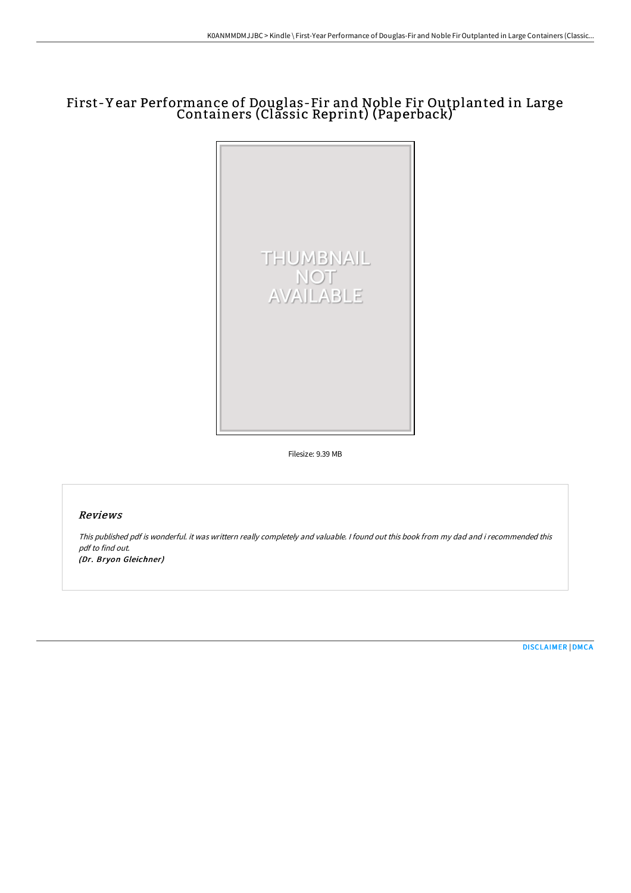# First-Y ear Performance of Douglas-Fir and Noble Fir Outplanted in Large Containers (Classic Reprint) (Paperback)



Filesize: 9.39 MB

### Reviews

This published pdf is wonderful. it was writtern really completely and valuable. I found out this book from my dad and i recommended this pdf to find out. (Dr. Bryon Gleichner)

[DISCLAIMER](http://techno-pub.tech/disclaimer.html) | [DMCA](http://techno-pub.tech/dmca.html)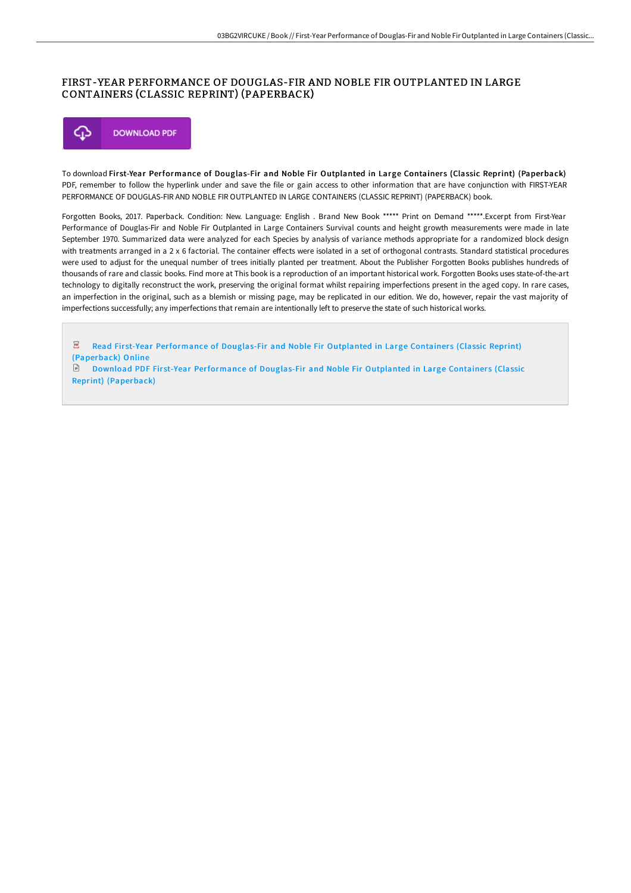## FIRST-YEAR PERFORMANCE OF DOUGLAS-FIR AND NOBLE FIR OUTPLANTED IN LARGE CONTAINERS (CLASSIC REPRINT) (PAPERBACK)



To download First-Year Performance of Douglas-Fir and Noble Fir Outplanted in Large Containers (Classic Reprint) (Paperback) PDF, remember to follow the hyperlink under and save the file or gain access to other information that are have conjunction with FIRST-YEAR PERFORMANCE OF DOUGLAS-FIR AND NOBLE FIR OUTPLANTED IN LARGE CONTAINERS (CLASSIC REPRINT) (PAPERBACK) book.

Forgotten Books, 2017. Paperback. Condition: New. Language: English . Brand New Book \*\*\*\*\* Print on Demand \*\*\*\*\*.Excerpt from First-Year Performance of Douglas-Fir and Noble Fir Outplanted in Large Containers Survival counts and height growth measurements were made in late September 1970. Summarized data were analyzed for each Species by analysis of variance methods appropriate for a randomized block design with treatments arranged in a 2 x 6 factorial. The container effects were isolated in a set of orthogonal contrasts. Standard statistical procedures were used to adjust for the unequal number of trees initially planted per treatment. About the Publisher Forgotten Books publishes hundreds of thousands of rare and classic books. Find more at This book is a reproduction of an important historical work. Forgotten Books uses state-of-the-art technology to digitally reconstruct the work, preserving the original format whilst repairing imperfections present in the aged copy. In rare cases, an imperfection in the original, such as a blemish or missing page, may be replicated in our edition. We do, however, repair the vast majority of imperfections successfully; any imperfections that remain are intentionally left to preserve the state of such historical works.

 $\overline{\mathbb{R}^n}$ Read First-Year [Performance](http://techno-pub.tech/first-year-performance-of-douglas-fir-and-noble-.html) of Douglas-Fir and Noble Fir Outplanted in Large Containers (Classic Reprint) (Paperback) Online Download PDF First-Year [Performance](http://techno-pub.tech/first-year-performance-of-douglas-fir-and-noble-.html) of Douglas-Fir and Noble Fir Outplanted in Large Containers (Classic ।∋

Reprint) (Paperback)